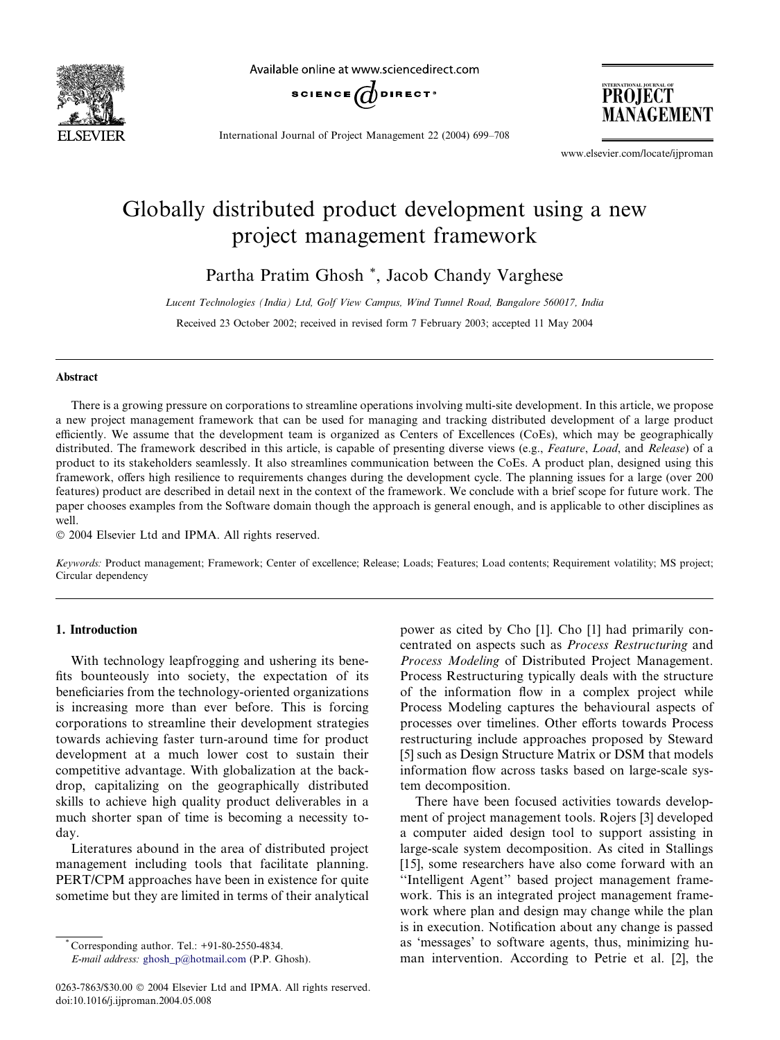

Available online at www.sciencedirect.com



International Journal of Project Management 22 (2004) 699–708

www.elsevier.com/locate/ijproman

PROJECT MANAGEMENT

## Globally distributed product development using a new project management framework

Partha Pratim Ghosh \*, Jacob Chandy Varghese

Lucent Technologies (India) Ltd, Golf View Campus, Wind Tunnel Road, Bangalore 560017, India Received 23 October 2002; received in revised form 7 February 2003; accepted 11 May 2004

#### Abstract

There is a growing pressure on corporations to streamline operations involving multi-site development. In this article, we propose a new project management framework that can be used for managing and tracking distributed development of a large product efficiently. We assume that the development team is organized as Centers of Excellences (CoEs), which may be geographically distributed. The framework described in this article, is capable of presenting diverse views (e.g., Feature, Load, and Release) of a product to its stakeholders seamlessly. It also streamlines communication between the CoEs. A product plan, designed using this framework, offers high resilience to requirements changes during the development cycle. The planning issues for a large (over 200 features) product are described in detail next in the context of the framework. We conclude with a brief scope for future work. The paper chooses examples from the Software domain though the approach is general enough, and is applicable to other disciplines as well.

2004 Elsevier Ltd and IPMA. All rights reserved.

Keywords: Product management; Framework; Center of excellence; Release; Loads; Features; Load contents; Requirement volatility; MS project; Circular dependency

### 1. Introduction

With technology leapfrogging and ushering its benefits bounteously into society, the expectation of its beneficiaries from the technology-oriented organizations is increasing more than ever before. This is forcing corporations to streamline their development strategies towards achieving faster turn-around time for product development at a much lower cost to sustain their competitive advantage. With globalization at the backdrop, capitalizing on the geographically distributed skills to achieve high quality product deliverables in a much shorter span of time is becoming a necessity today.

Literatures abound in the area of distributed project management including tools that facilitate planning. PERT/CPM approaches have been in existence for quite sometime but they are limited in terms of their analytical

\* Corresponding author. Tel.: +91-80-2550-4834.

power as cited by Cho [1]. Cho [1] had primarily concentrated on aspects such as Process Restructuring and Process Modeling of Distributed Project Management. Process Restructuring typically deals with the structure of the information flow in a complex project while Process Modeling captures the behavioural aspects of processes over timelines. Other efforts towards Process restructuring include approaches proposed by Steward [5] such as Design Structure Matrix or DSM that models information flow across tasks based on large-scale system decomposition.

There have been focused activities towards development of project management tools. Rojers [3] developed a computer aided design tool to support assisting in large-scale system decomposition. As cited in Stallings [15], some researchers have also come forward with an ''Intelligent Agent'' based project management framework. This is an integrated project management framework where plan and design may change while the plan is in execution. Notification about any change is passed as 'messages' to software agents, thus, minimizing human intervention. According to Petrie et al. [2], the

E-mail address: [ghosh\\_p@hotmail.com](mail to: ghosh_p@hotmail.com) (P.P. Ghosh).

<sup>0263-7863/\$30.00</sup>  $\odot$  2004 Elsevier Ltd and IPMA. All rights reserved. doi:10.1016/j.ijproman.2004.05.008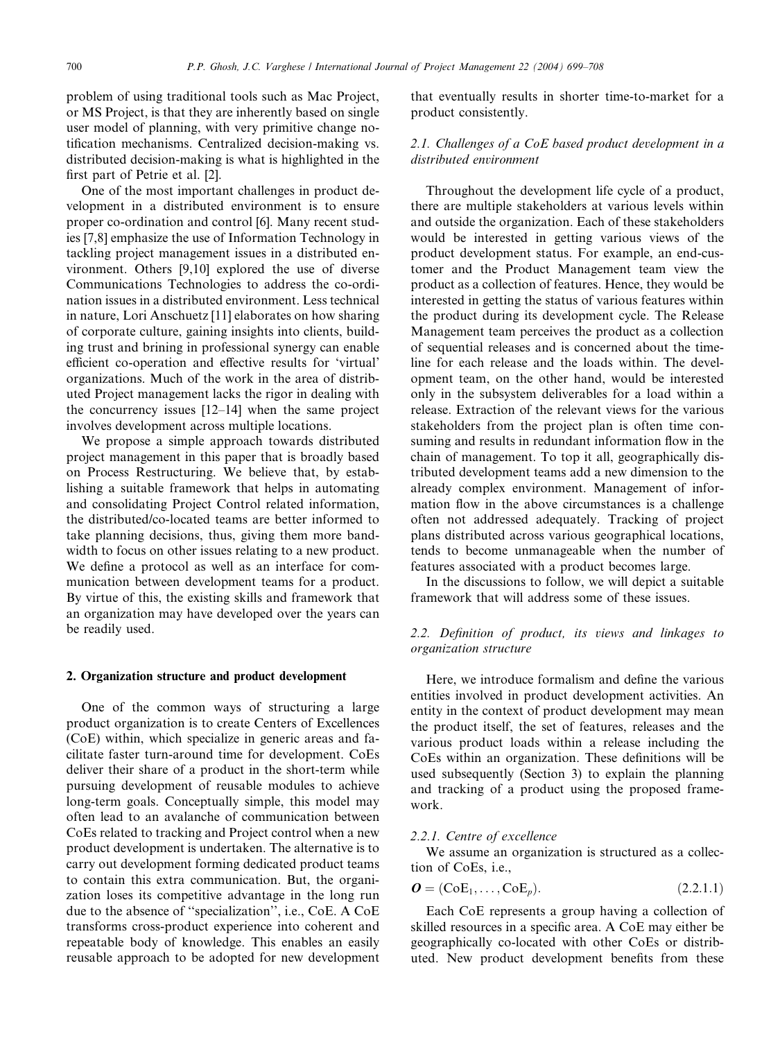problem of using traditional tools such as Mac Project, or MS Project, is that they are inherently based on single user model of planning, with very primitive change notification mechanisms. Centralized decision-making vs. distributed decision-making is what is highlighted in the first part of Petrie et al. [2].

One of the most important challenges in product development in a distributed environment is to ensure proper co-ordination and control [6]. Many recent studies [7,8] emphasize the use of Information Technology in tackling project management issues in a distributed environment. Others [9,10] explored the use of diverse Communications Technologies to address the co-ordination issues in a distributed environment. Less technical in nature, Lori Anschuetz [11] elaborates on how sharing of corporate culture, gaining insights into clients, building trust and brining in professional synergy can enable efficient co-operation and effective results for 'virtual' organizations. Much of the work in the area of distributed Project management lacks the rigor in dealing with the concurrency issues [12–14] when the same project involves development across multiple locations.

We propose a simple approach towards distributed project management in this paper that is broadly based on Process Restructuring. We believe that, by establishing a suitable framework that helps in automating and consolidating Project Control related information, the distributed/co-located teams are better informed to take planning decisions, thus, giving them more bandwidth to focus on other issues relating to a new product. We define a protocol as well as an interface for communication between development teams for a product. By virtue of this, the existing skills and framework that an organization may have developed over the years can be readily used.

### 2. Organization structure and product development

One of the common ways of structuring a large product organization is to create Centers of Excellences (CoE) within, which specialize in generic areas and facilitate faster turn-around time for development. CoEs deliver their share of a product in the short-term while pursuing development of reusable modules to achieve long-term goals. Conceptually simple, this model may often lead to an avalanche of communication between CoEs related to tracking and Project control when a new product development is undertaken. The alternative is to carry out development forming dedicated product teams to contain this extra communication. But, the organization loses its competitive advantage in the long run due to the absence of ''specialization'', i.e., CoE. A CoE transforms cross-product experience into coherent and repeatable body of knowledge. This enables an easily reusable approach to be adopted for new development that eventually results in shorter time-to-market for a product consistently.

## 2.1. Challenges of a CoE based product development in a distributed environment

Throughout the development life cycle of a product, there are multiple stakeholders at various levels within and outside the organization. Each of these stakeholders would be interested in getting various views of the product development status. For example, an end-customer and the Product Management team view the product as a collection of features. Hence, they would be interested in getting the status of various features within the product during its development cycle. The Release Management team perceives the product as a collection of sequential releases and is concerned about the timeline for each release and the loads within. The development team, on the other hand, would be interested only in the subsystem deliverables for a load within a release. Extraction of the relevant views for the various stakeholders from the project plan is often time consuming and results in redundant information flow in the chain of management. To top it all, geographically distributed development teams add a new dimension to the already complex environment. Management of information flow in the above circumstances is a challenge often not addressed adequately. Tracking of project plans distributed across various geographical locations, tends to become unmanageable when the number of features associated with a product becomes large.

In the discussions to follow, we will depict a suitable framework that will address some of these issues.

## 2.2. Definition of product, its views and linkages to organization structure

Here, we introduce formalism and define the various entities involved in product development activities. An entity in the context of product development may mean the product itself, the set of features, releases and the various product loads within a release including the CoEs within an organization. These definitions will be used subsequently (Section 3) to explain the planning and tracking of a product using the proposed framework.

#### 2.2.1. Centre of excellence

We assume an organization is structured as a collection of CoEs, i.e.,

$$
\mathbf{O} = (\mathrm{CoE}_1, \dots, \mathrm{CoE}_p). \tag{2.2.1.1}
$$

Each CoE represents a group having a collection of skilled resources in a specific area. A CoE may either be geographically co-located with other CoEs or distributed. New product development benefits from these